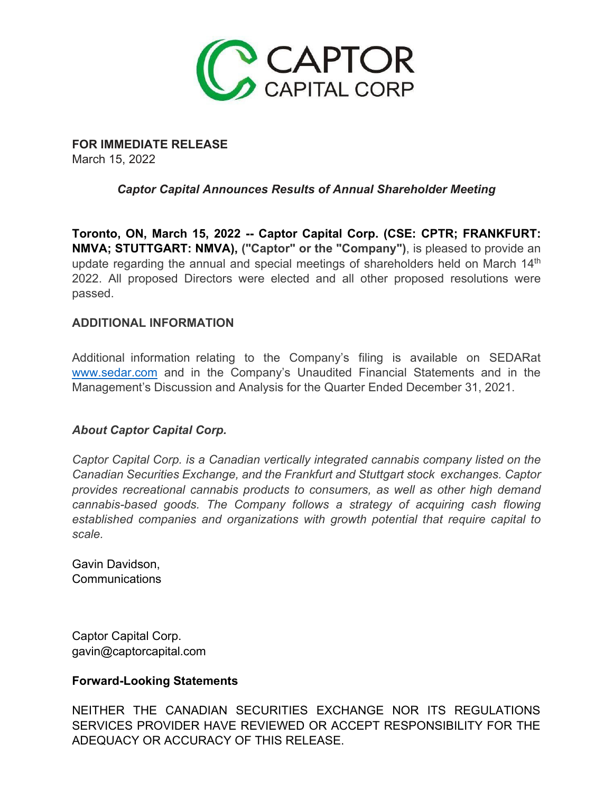

**FOR IMMEDIATE RELEASE** March 15, 2022

## *Captor Capital Announces Results of Annual Shareholder Meeting*

**Toronto, ON, March 15, 2022 -- Captor Capital Corp. (CSE: CPTR; FRANKFURT: NMVA; STUTTGART: NMVA), ("Captor" or the "Company")**, is pleased to provide an update regarding the annual and special meetings of shareholders held on March 14<sup>th</sup> 2022. All proposed Directors were elected and all other proposed resolutions were passed.

## **ADDITIONAL INFORMATION**

Additional information relating to the Company's filing is available on SEDARat [www.sedar.com](http://www.sedar.com/) and in the Company's Unaudited Financial Statements and in the Management's Discussion and Analysis for the Quarter Ended December 31, 2021.

## *About Captor Capital Corp.*

*Captor Capital Corp. is a Canadian vertically integrated cannabis company listed on the Canadian Securities Exchange, and the Frankfurt and Stuttgart stock exchanges. Captor provides recreational cannabis products to consumers, as well as other high demand cannabis-based goods. The Company follows a strategy of acquiring cash flowing established companies and organizations with growth potential that require capital to scale.*

Gavin Davidson, Communications

Captor Capital Corp. [gavin@captorcapital.com](mailto:gavin@captorcapital.com)

## **Forward-Looking Statements**

NEITHER THE CANADIAN SECURITIES EXCHANGE NOR ITS REGULATIONS SERVICES PROVIDER HAVE REVIEWED OR ACCEPT RESPONSIBILITY FOR THE ADEQUACY OR ACCURACY OF THIS RELEASE.